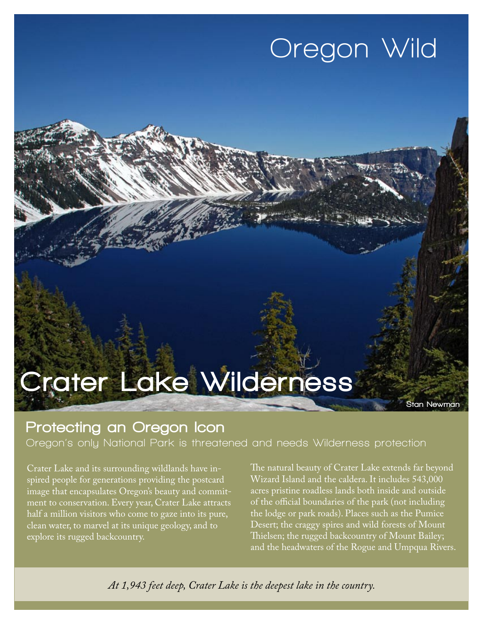## **Oregon Wild**

# Crater Lake Wilderness

Stan Newman

#### Protecting an Oregon Icon

**Oregon's only National Park is threatened and needs Wilderness protection**

Crater Lake and its surrounding wildlands have inspired people for generations providing the postcard image that encapsulates Oregon's beauty and commitment to conservation. Every year, Crater Lake attracts half a million visitors who come to gaze into its pure, clean water, to marvel at its unique geology, and to explore its rugged backcountry.

The natural beauty of Crater Lake extends far beyond Wizard Island and the caldera. It includes 543,000 acres pristine roadless lands both inside and outside of the official boundaries of the park (not including the lodge or park roads). Places such as the Pumice Desert; the craggy spires and wild forests of Mount Thielsen; the rugged backcountry of Mount Bailey; and the headwaters of the Rogue and Umpqua Rivers.

*At 1,943 feet deep, Crater Lake is the deepest lake in the country.*